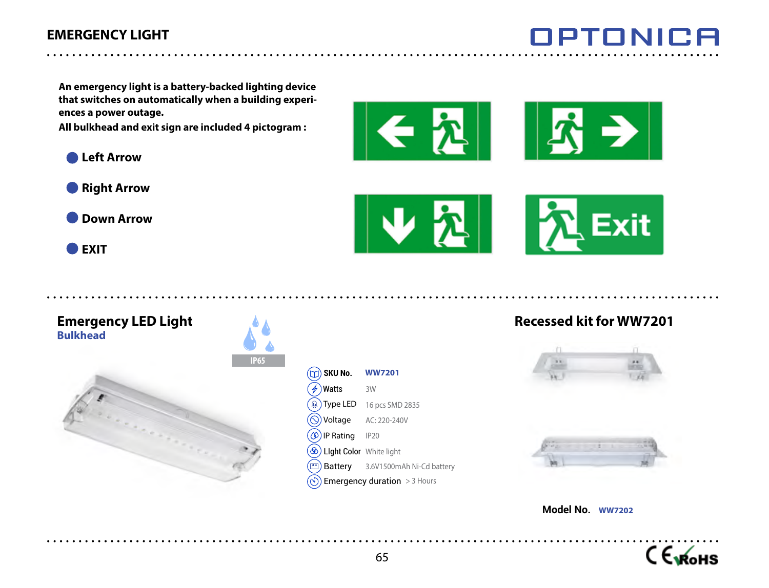### **EMERGENCY LIGHT**

OPTONI

**An emergency light is a battery-backed lighting device that switches on automatically when a building experiences a power outage.** 

**All bulkhead and exit sign are included 4 pictogram :**

 **Left Arrow**



 **Down Arrow**

 **EXIT**





# **Emergency LED Light Bulkhead IP65**

| SKU No.                             | <b>WW7201</b>                       |
|-------------------------------------|-------------------------------------|
| Watts                               | 3W                                  |
| Type LED<br>ந்                      | 16 pcs SMD 2835                     |
|                                     | <b>Voltage</b> AC: 220-240V         |
| <b>IP Rating</b> IP20<br>′ง         |                                     |
| <b>Light Color</b> White light<br>≪ |                                     |
| τ.                                  | Battery 3.6V1500mAh Ni-Cd b         |
| (`ত                                 | <b>Emergency duration</b> > 3 Hours |

## **Recessed kit for WW7201**





**Model No. WW7202**



3.6V1500mAh Ni-Cd battery